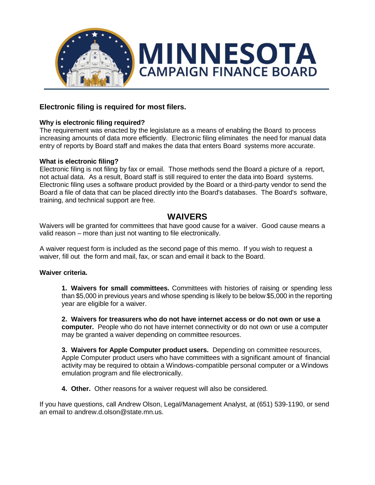

## **Electronic filing is required for most filers.**

## **Why is electronic filing required?**

The requirement was enacted by the legislature as a means of enabling the Board to process increasing amounts of data more efficiently. Electronic filing eliminates the need for manual data entry of reports by Board staff and makes the data that enters Board systems more accurate.

### **What is electronic filing?**

Electronic filing is not filing by fax or email. Those methods send the Board a picture of a report, not actual data. As a result, Board staff is still required to enter the data into Board systems. Electronic filing uses a software product provided by the Board or a third-party vendor to send the Board a file of data that can be placed directly into the Board's databases. The Board's software, training, and technical support are free.

# **WAIVERS**

Waivers will be granted for committees that have good cause for a waiver. Good cause means a valid reason – more than just not wanting to file electronically.

A waiver request form is included as the second page of this memo. If you wish to request a waiver, fill out the form and mail, fax, or scan and email it back to the Board.

### **Waiver criteria.**

**1. Waivers for small committees.** Committees with histories of raising or spending less than \$5,000 in previous years and whose spending is likely to be below \$5,000 in the reporting year are eligible for a waiver.

**2. Waivers for treasurers who do not have internet access or do not own or use a computer.** People who do not have internet connectivity or do not own or use a computer may be granted a waiver depending on committee resources.

**3. Waivers for Apple Computer product users.** Depending on committee resources, Apple Computer product users who have committees with a significant amount of financial activity may be required to obtain a Windows-compatible personal computer or a Windows emulation program and file electronically.

**4. Other.** Other reasons for a waiver request will also be considered.

If you have questions, call Andrew Olson, Legal/Management Analyst, at (651) 539-1190, or send an email to andrew.d.olson@state.mn.us.